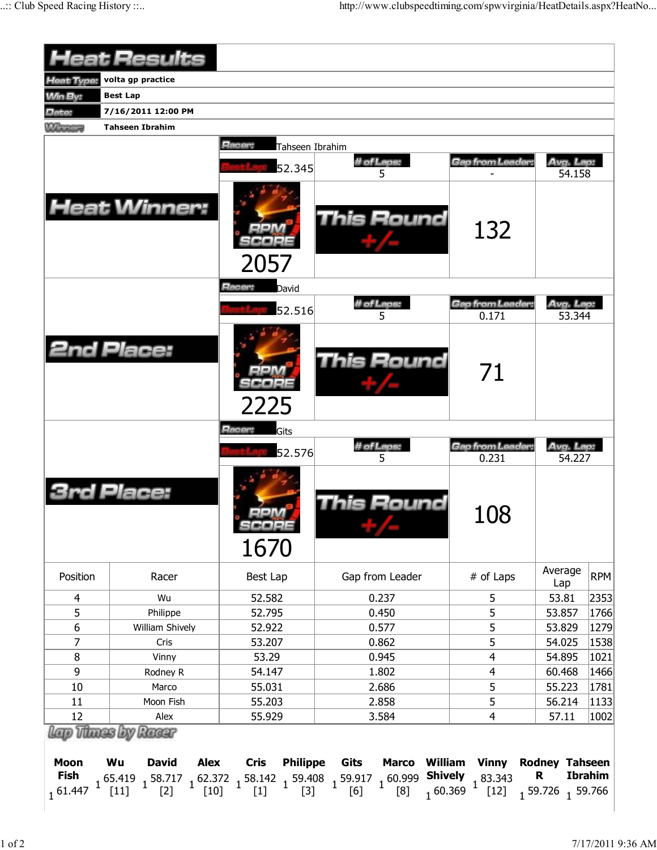|                   | <b>Heat Results</b>        |                           |                   |                           |                     |            |
|-------------------|----------------------------|---------------------------|-------------------|---------------------------|---------------------|------------|
| <b>Heat Type:</b> | volta gp practice          |                           |                   |                           |                     |            |
| <b>Win By:</b>    | <b>Best Lap</b>            |                           |                   |                           |                     |            |
| Date:             | 7/16/2011 12:00 PM         |                           |                   |                           |                     |            |
| <b>Wheneve</b>    | <b>Tahseen Ibrahim</b>     |                           |                   |                           |                     |            |
|                   |                            | Racer:<br>Tahseen Ibrahim |                   |                           |                     |            |
|                   |                            |                           | # of Laps:        | Gap from Leader:          | Avg. Lap:           |            |
|                   |                            | 52.345                    | 5                 |                           | 54.158              |            |
|                   | <b>Heat Winner:</b>        | 2057                      | This Round        | 132                       |                     |            |
|                   |                            | Racer:<br>David           |                   |                           |                     |            |
|                   |                            | 52.516                    | # of Laps:        | Gap from Leader:          | Avg. Lap:           |            |
|                   | <b>2nd Place:</b>          | 2225                      | 5<br>This Round   | 0.171<br>71               | 53.344              |            |
|                   |                            | Racer:<br>Gits<br>52.576  | # of Laps:<br>5   | Gap from Leader:<br>0.231 | Avg. Lap.<br>54.227 |            |
|                   | <b>3rd Place:</b>          | كالألالة اك<br>1670       | <b>This Round</b> | 108                       |                     |            |
| Position          | Racer                      | Best Lap                  | Gap from Leader   | # of Laps                 | Average<br>Lap      | <b>RPM</b> |
| 4                 | Wu                         | 52.582                    | 0.237             | 5                         | 53.81               | 2353       |
| 5                 | Philippe                   | 52.795                    | 0.450             | 5                         | 53.857              | 1766       |
| 6                 | William Shively            | 52.922                    | 0.577             | 5                         | 53.829              | 1279       |
| 7                 | Cris                       | 53.207                    | 0.862             | 5                         | 54.025              | 1538       |
| 8                 | Vinny                      | 53.29                     | 0.945             | 4                         | 54.895              | 1021       |
| 9                 | Rodney R                   | 54.147                    | 1.802             | 4                         | 60.468              | 1466       |
|                   | Marco                      | 55.031                    | 2.686             | 5                         | 55.223              | 1781       |
| 10                | Moon Fish                  | 55.203                    | 2.858             | 5                         | 56.214              | 1133       |
| 11                |                            |                           |                   | $\overline{4}$            | 57.11               |            |
| 12                | Alex<br>Lap Thoss by Rassr | 55.929                    | 3.584             |                           |                     | 1002       |